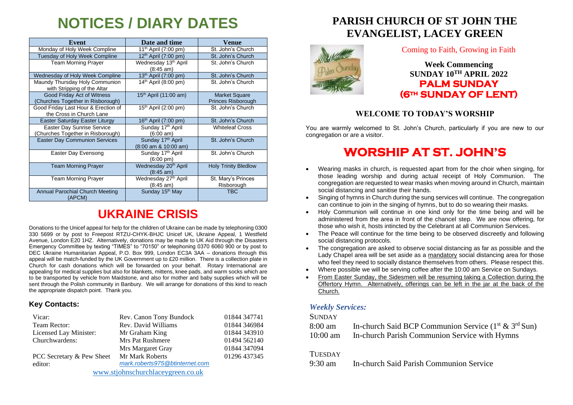# **NOTICES / DIARY DATES**

| Event                                                           | Date and time                                           | Venue                                      |
|-----------------------------------------------------------------|---------------------------------------------------------|--------------------------------------------|
| Monday of Holy Week Compline                                    | 11 <sup>th</sup> April (7:00 pm)                        | St. John's Church                          |
| Tuesday of Holy Week Compline                                   | $12th$ April (7:00 pm)                                  | St. John's Church                          |
| <b>Team Morning Prayer</b>                                      | Wednesday 13 <sup>th</sup> April<br>$(8:45 \text{ am})$ | St. John's Church                          |
| Wednesday of Holy Week Compline                                 | 13 <sup>th</sup> April (7:00 pm)                        | St. John's Church                          |
| Maundy Thursday Holy Communion<br>with Stripping of the Altar   | $14th$ April (8:00 pm)                                  | St. John's Church                          |
| Good Friday Act of Witness<br>Churches Together in Risborough)  | $15th$ April (11:00 am)                                 | <b>Market Square</b><br>Princes Risborough |
| Good Friday Last Hour & Erection of<br>the Cross in Church Lane | $15th$ April (2:00 pm)                                  | St. John's Church                          |
| Easter Saturday Easter Liturgy                                  | $16th$ April (7:00 pm)                                  | St. John's Church                          |
| Easter Day Sunrise Service<br>Churches Together in Risborough)  | Sunday 17th April<br>(6:00 am)                          | <b>Whiteleaf Cross</b>                     |
| <b>Easter Day Communion Services</b>                            | Sunday 17 <sup>th</sup> April<br>(8:00 am & 10:00 am)   | St. John's Church                          |
| Easter Day Evensong                                             | Sunday 17 <sup>th</sup> April<br>$(6:00 \text{ pm})$    | St. John's Church                          |
| <b>Team Morning Prayer</b>                                      | Wednesday 20 <sup>th</sup> April<br>$(8:45 \text{ am})$ | <b>Holy Trinity Bledlow</b>                |
| <b>Team Morning Prayer</b>                                      | Wednesday 27 <sup>th</sup> April<br>$(8:45 \text{ am})$ | St. Mary's Princes<br>Risborough           |
| Annual Parochial Church Meeting<br>(APCM)                       | Sunday 15 <sup>th</sup> May                             | <b>TBC</b>                                 |

## **UKRAINE CRISIS**

Donations to the Unicef appeal for help for the children of Ukraine can be made by telephoning 0300 330 5699 or by post to Freepost RTZU-CHYK-BHJC Unicef UK, Ukraine Appeal, 1 Westfield Avenue, London E20 1HZ. Alternatively, donations may be made to UK Aid through the Disasters Emergency Committee by texting "TIMES" to "70150" or telephoning 0370 6060 900 or by post to DEC Ukraine Humanitarian Appeal, P.O. Box 999, London EC3A 3AA – donations through this appeal will be match-funded by the UK Government up to £20 million. There is a collection plate in Church for cash donations which will be forwarded on your behalf. Rotary International are appealing for medical supplies but also for blankets, mittens, knee pads, and warm socks which are to be transported by vehicle from Maidstone, and also for mother and baby supplies which will be sent through the Polish community in Banbury. We will arrange for donations of this kind to reach the appropriate dispatch point. Thank you.

#### **Key Contacts:**

| Vicar:                            | Rev. Canon Tony Bundock        | 01844 347741 |
|-----------------------------------|--------------------------------|--------------|
| Team Rector:                      | Rev. David Williams            | 01844 346984 |
| Licensed Lay Minister:            | Mr Graham King                 | 01844 343910 |
| Churchwardens:                    | <b>Mrs Pat Rushmere</b>        | 01494 562140 |
|                                   | Mrs Margaret Gray              | 01844 347094 |
| PCC Secretary & Pew Sheet         | Mr Mark Roberts                | 01296 437345 |
| editor:                           | mark.roberts975@btinternet.com |              |
| www.stjohnschurchlaceygreen.co.uk |                                |              |

### **PARISH CHURCH OF ST JOHN THE EVANGELIST, LACEY GREEN**



#### Coming to Faith, Growing in Faith

**Week Commencing SUNDAY 10TH APRIL 2022 PALM SUNDAY (6th SUNDAY OF LENT)** 

#### **WELCOME TO TODAY'S WORSHIP**

You are warmly welcomed to St. John's Church, particularly if you are new to our congregation or are a visitor.

### **WORSHIP AT ST. JOHN'S**

- Wearing masks in church, is requested apart from for the choir when singing, for those leading worship and during actual receipt of Holy Communion. The congregation are requested to wear masks when moving around in Church, maintain social distancing and sanitise their hands.
- Singing of hymns in Church during the sung services will continue. The congregation can continue to join in the singing of hymns, but to do so wearing their masks.
- Holy Communion will continue in one kind only for the time being and will be administered from the area in front of the chancel step. We are now offering, for those who wish it, hosts intincted by the Celebrant at all Communion Services.
- The Peace will continue for the time being to be observed discreetly and following social distancing protocols.
- The congregation are asked to observe social distancing as far as possible and the Lady Chapel area will be set aside as a mandatory social distancing area for those who feel they need to socially distance themselves from others. Please respect this.
- Where possible we will be serving coffee after the 10:00 am Service on Sundays.
- From Easter Sunday, the Sidesmen will be resuming taking a Collection during the Offertory Hymn. Alternatively, offerings can be left in the jar at the back of the Church.

#### *Weekly Services:*

#### **SUNDAY**

| 8:00 am    | In-church Said BCP Communion Service $(1^{st} \& 3^{rd} Sun)$ |
|------------|---------------------------------------------------------------|
| $10:00$ am | In-church Parish Communion Service with Hymns                 |

#### **TUESDAY**

9:30 am In-church Said Parish Communion Service